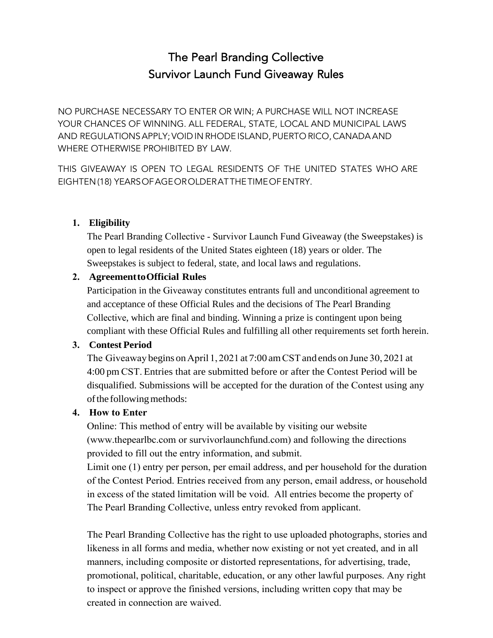# The Pearl Branding Collective Survivor Launch Fund Giveaway Rules

NO PURCHASE NECESSARY TO ENTER OR WIN; A PURCHASE WILL NOT INCREASE YOUR CHANCES OF WINNING. ALL FEDERAL, STATE, LOCAL AND MUNICIPAL LAWS AND REGULATIONS APPLY; VOID IN RHODE ISLAND, PUERTO RICO, CANADA AND WHERE OTHERWISE PROHIBITED BY LAW.

THIS GIVEAWAY IS OPEN TO LEGAL RESIDENTS OF THE UNITED STATES WHO ARE EIGHTEN (18) YEARS OF AGE OR OLDER AT THE TIME OF ENTRY.

# **1. Eligibility**

The Pearl Branding Collective - Survivor Launch Fund Giveaway (the Sweepstakes) is open to legal residents of the United States eighteen (18) years or older. The Sweepstakes is subject to federal, state, and local laws and regulations.

# **2. AgreementtoOfficial Rules**

Participation in the Giveaway constitutes entrants full and unconditional agreement to and acceptance of these Official Rules and the decisions of The Pearl Branding Collective, which are final and binding. Winning a prize is contingent upon being compliant with these Official Rules and fulfilling all other requirements set forth herein.

# **3. Contest Period**

The Giveaway begins on April 1, 2021 at 7:00 am CST and ends on June 30, 2021 at 4:00 pm CST. Entries that are submitted before or after the Contest Period will be disqualified. Submissions will be accepted for the duration of the Contest using any of the following methods:

# **4. How to Enter**

Online: This method of entry will be available by visiting our website (www.thepearlbc.com or survivorlaunchfund.com) and following the directions provided to fill out the entry information, and submit.

Limit one (1) entry per person, per email address, and per household for the duration of the Contest Period. Entries received from any person, email address, or household in excess of the stated limitation will be void. All entries become the property of The Pearl Branding Collective, unless entry revoked from applicant.

The Pearl Branding Collective has the right to use uploaded photographs, stories and likeness in all forms and media, whether now existing or not yet created, and in all manners, including composite or distorted representations, for advertising, trade, promotional, political, charitable, education, or any other lawful purposes. Any right to inspect or approve the finished versions, including written copy that may be created in connection are waived.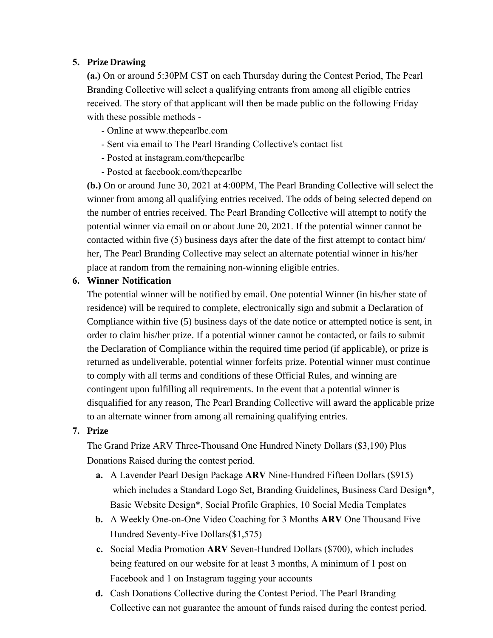# **5. Prize Drawing**

**(a.)** On or around 5:30PM CST on each Thursday during the Contest Period, The Pearl Branding Collective will select a qualifying entrants from among all eligible entries received. The story of that applicant will then be made public on the following Friday with these possible methods -

- Online at www.thepearlbc.com
- Sent via email to The Pearl Branding Collective's contact list
- Posted at instagram.com/thepearlbc
- Posted at facebook.com/thepearlbc

**(b.)** On or around June 30, 2021 at 4:00PM, The Pearl Branding Collective will select the winner from among all qualifying entries received. The odds of being selected depend on the number of entries received. The Pearl Branding Collective will attempt to notify the potential winner via email on or about June 20, 2021. If the potential winner cannot be contacted within five (5) business days after the date of the first attempt to contact him/ her, The Pearl Branding Collective may select an alternate potential winner in his/her place at random from the remaining non-winning eligible entries.

## **6. Winner Notification**

The potential winner will be notified by email. One potential Winner (in his/her state of residence) will be required to complete, electronically sign and submit a Declaration of Compliance within five (5) business days of the date notice or attempted notice is sent, in order to claim his/her prize. If a potential winner cannot be contacted, or fails to submit the Declaration of Compliance within the required time period (if applicable), or prize is returned as undeliverable, potential winner forfeits prize. Potential winner must continue to comply with all terms and conditions of these Official Rules, and winning are contingent upon fulfilling all requirements. In the event that a potential winner is disqualified for any reason, The Pearl Branding Collective will award the applicable prize to an alternate winner from among all remaining qualifying entries.

# **7. Prize**

The Grand Prize ARV Three-Thousand One Hundred Ninety Dollars (\$3,190) Plus Donations Raised during the contest period.

- **a.** A Lavender Pearl Design Package **ARV** Nine-Hundred Fifteen Dollars (\$915) which includes a Standard Logo Set, Branding Guidelines, Business Card Design\*, Basic Website Design\*, Social Profile Graphics, 10 Social Media Templates
- **b.** A Weekly One-on-One Video Coaching for 3 Months **ARV** One Thousand Five Hundred Seventy-Five Dollars(\$1,575)
- **c.** Social Media Promotion **ARV** Seven-Hundred Dollars (\$700), which includes being featured on our website for at least 3 months, A minimum of 1 post on Facebook and 1 on Instagram tagging your accounts
- **d.** Cash Donations Collective during the Contest Period. The Pearl Branding Collective can not guarantee the amount of funds raised during the contest period.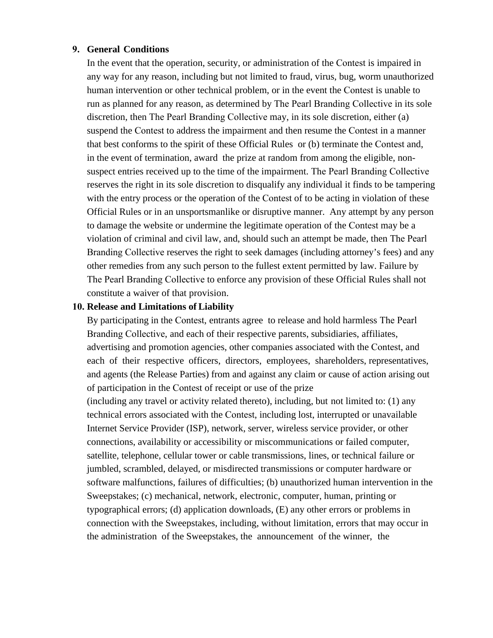#### **9. General Conditions**

In the event that the operation, security, or administration of the Contest is impaired in any way for any reason, including but not limited to fraud, virus, bug, worm unauthorized human intervention or other technical problem, or in the event the Contest is unable to run as planned for any reason, as determined by The Pearl Branding Collective in its sole discretion, then The Pearl Branding Collective may, in its sole discretion, either (a) suspend the Contest to address the impairment and then resume the Contest in a manner that best conforms to the spirit of these Official Rules or (b) terminate the Contest and, in the event of termination, award the prize at random from among the eligible, nonsuspect entries received up to the time of the impairment. The Pearl Branding Collective reserves the right in its sole discretion to disqualify any individual it finds to be tampering with the entry process or the operation of the Contest of to be acting in violation of these Official Rules or in an unsportsmanlike or disruptive manner. Any attempt by any person to damage the website or undermine the legitimate operation of the Contest may be a violation of criminal and civil law, and, should such an attempt be made, then The Pearl Branding Collective reserves the right to seek damages (including attorney's fees) and any other remedies from any such person to the fullest extent permitted by law. Failure by The Pearl Branding Collective to enforce any provision of these Official Rules shall not constitute a waiver of that provision.

#### **10. Release and Limitations of Liability**

By participating in the Contest, entrants agree to release and hold harmless The Pearl Branding Collective, and each of their respective parents, subsidiaries, affiliates, advertising and promotion agencies, other companies associated with the Contest, and each of their respective officers, directors, employees, shareholders, representatives, and agents (the Release Parties) from and against any claim or cause of action arising out of participation in the Contest of receipt or use of the prize (including any travel or activity related thereto), including, but not limited to: (1) any technical errors associated with the Contest, including lost, interrupted or unavailable Internet Service Provider (ISP), network, server, wireless service provider, or other connections, availability or accessibility or miscommunications or failed computer, satellite, telephone, cellular tower or cable transmissions, lines, or technical failure or jumbled, scrambled, delayed, or misdirected transmissions or computer hardware or software malfunctions, failures of difficulties; (b) unauthorized human intervention in the Sweepstakes; (c) mechanical, network, electronic, computer, human, printing or typographical errors; (d) application downloads, (E) any other errors or problems in connection with the Sweepstakes, including, without limitation, errors that may occur in the administration of the Sweepstakes, the announcement of the winner, the